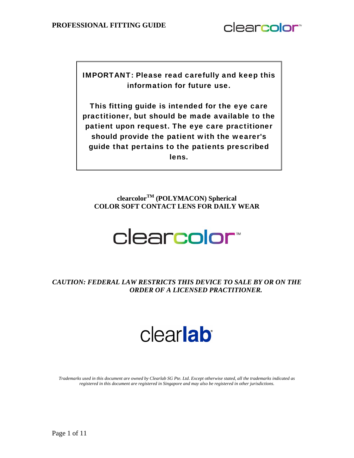

IMPORTANT: Please read carefully and keep this information for future use.

This fitting guide is intended for the eye care practitioner, but should be made available to the patient upon request. The eye care practitioner should provide the patient with the wearer's guide that pertains to the patients prescribed lens.

**clearcolorTM (POLYMACON) Spherical COLOR SOFT CONTACT LENS FOR DAILY WEAR** 

# clearcolor<sup>\*</sup>

*CAUTION: FEDERAL LAW RESTRICTS THIS DEVICE TO SALE BY OR ON THE ORDER OF A LICENSED PRACTITIONER.* 

# clearlab

*Trademarks used in this document are owned by Clearlab SG Pte. Ltd. Except otherwise stated, all the trademarks indicated as registered in this document are registered in Singapore and may also be registered in other jurisdictions.*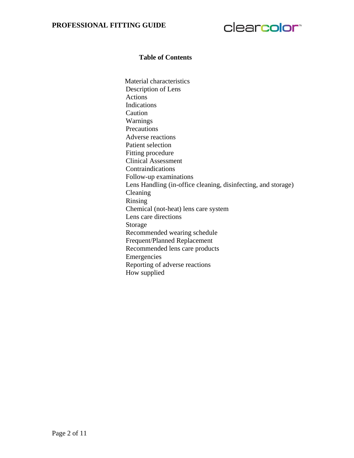

#### **Table of Contents**

Material characteristics Description of Lens Actions Indications Caution Warnings Precautions Adverse reactions Patient selection Fitting procedure Clinical Assessment Contraindications Follow-up examinations Lens Handling (in-office cleaning, disinfecting, and storage) Cleaning Rinsing Chemical (not-heat) lens care system Lens care directions Storage Recommended wearing schedule Frequent/Planned Replacement Recommended lens care products Emergencies Reporting of adverse reactions How supplied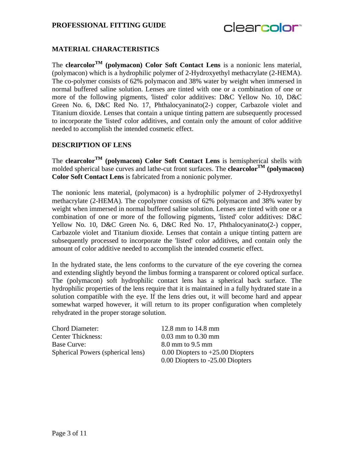

# **MATERIAL CHARACTERISTICS**

The **clearcolor<sup>TM</sup>** (polymacon) Color Soft Contact Lens is a nonionic lens material, (polymacon) which is a hydrophilic polymer of 2-Hydroxyethyl methacrylate (2-HEMA). The co-polymer consists of 62% polymacon and 38% water by weight when immersed in normal buffered saline solution. Lenses are tinted with one or a combination of one or more of the following pigments, 'listed' color additives: D&C Yellow No. 10, D&C Green No. 6, D&C Red No. 17, Phthalocyaninato(2-) copper, Carbazole violet and Titanium dioxide. Lenses that contain a unique tinting pattern are subsequently processed to incorporate the 'listed' color additives, and contain only the amount of color additive needed to accomplish the intended cosmetic effect.

#### **DESCRIPTION OF LENS**

The **clearcolorTM (polymacon) Color Soft Contact Lens** is hemispherical shells with molded spherical base curves and lathe-cut front surfaces. The **clearcolor**<sup>TM</sup> (polymacon) **Color Soft Contact Lens** is fabricated from a nonionic polymer.

The nonionic lens material, (polymacon) is a hydrophilic polymer of 2-Hydroxyethyl methacrylate (2-HEMA). The copolymer consists of 62% polymacon and 38% water by weight when immersed in normal buffered saline solution. Lenses are tinted with one or a combination of one or more of the following pigments, 'listed' color additives: D&C Yellow No. 10, D&C Green No. 6, D&C Red No. 17, Phthalocyaninato(2-) copper, Carbazole violet and Titanium dioxide. Lenses that contain a unique tinting pattern are subsequently processed to incorporate the 'listed' color additives, and contain only the amount of color additive needed to accomplish the intended cosmetic effect.

In the hydrated state, the lens conforms to the curvature of the eye covering the cornea and extending slightly beyond the limbus forming a transparent or colored optical surface. The (polymacon) soft hydrophilic contact lens has a spherical back surface. The hydrophilic properties of the lens require that it is maintained in a fully hydrated state in a solution compatible with the eye. If the lens dries out, it will become hard and appear somewhat warped however, it will return to its proper configuration when completely rehydrated in the proper storage solution.

| <b>Chord Diameter:</b>            | 12.8 mm to $14.8$ mm                 |
|-----------------------------------|--------------------------------------|
| <b>Center Thickness:</b>          | $0.03$ mm to $0.30$ mm               |
| <b>Base Curve:</b>                | 8.0 mm to 9.5 mm                     |
| Spherical Powers (spherical lens) | $0.00$ Diopters to $+25.00$ Diopters |
|                                   | 0.00 Diopters to -25.00 Diopters     |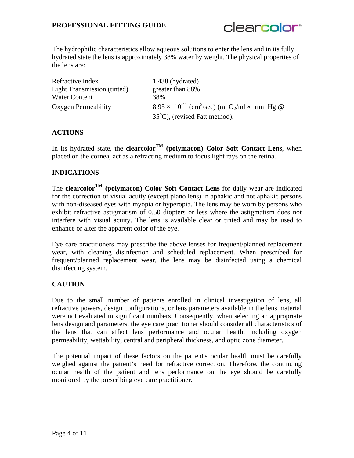

The hydrophilic characteristics allow aqueous solutions to enter the lens and in its fully hydrated state the lens is approximately 38% water by weight. The physical properties of the lens are:

| Refractive Index                   | 1.438 (hydrated)                                                                 |
|------------------------------------|----------------------------------------------------------------------------------|
| <b>Light Transmission (tinted)</b> | greater than 88%                                                                 |
| Water Content                      | 38%                                                                              |
| Oxygen Permeability                | $8.95 \times 10^{-11}$ (crn <sup>2</sup> /sec) (ml O <sub>2</sub> /ml × rnm Hg @ |
|                                    | $35^{\circ}$ C), (revised Fatt method).                                          |

# **ACTIONS**

In its hydrated state, the **clearcolor<sup>TM</sup>** (polymacon) Color Soft Contact Lens, when placed on the cornea, act as a refracting medium to focus light rays on the retina.

# **INDICATIONS**

The **clearcolor<sup>TM</sup>** (polymacon) Color Soft Contact Lens for daily wear are indicated for the correction of visual acuity (except plano lens) in aphakic and not aphakic persons with non-diseased eyes with myopia or hyperopia. The lens may be worn by persons who exhibit refractive astigmatism of 0.50 diopters or less where the astigmatism does not interfere with visual acuity. The lens is available clear or tinted and may be used to enhance or alter the apparent color of the eye.

Eye care practitioners may prescribe the above lenses for frequent/planned replacement wear, with cleaning disinfection and scheduled replacement. When prescribed for frequent/planned replacement wear, the lens may be disinfected using a chemical disinfecting system.

#### **CAUTION**

Due to the small number of patients enrolled in clinical investigation of lens, all refractive powers, design configurations, or lens parameters available in the lens material were not evaluated in significant numbers. Consequently, when selecting an appropriate lens design and parameters, the eye care practitioner should consider all characteristics of the lens that can affect lens performance and ocular health, including oxygen permeability, wettability, central and peripheral thickness, and optic zone diameter.

The potential impact of these factors on the patient's ocular health must be carefully weighed against the patient's need for refractive correction. Therefore, the continuing ocular health of the patient and lens performance on the eye should be carefully monitored by the prescribing eye care practitioner.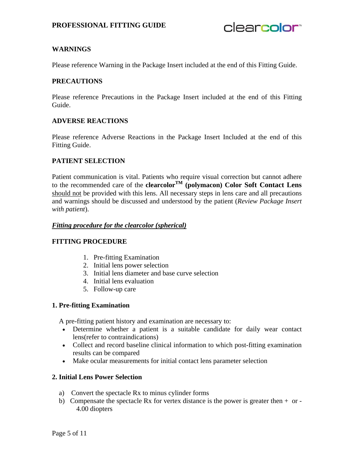clearcolor<sup>®</sup>

## **WARNINGS**

Please reference Warning in the Package Insert included at the end of this Fitting Guide.

#### **PRECAUTIONS**

Please reference Precautions in the Package Insert included at the end of this Fitting Guide.

#### **ADVERSE REACTIONS**

Please reference Adverse Reactions in the Package Insert Included at the end of this Fitting Guide.

#### **PATIENT SELECTION**

Patient communication is vital. Patients who require visual correction but cannot adhere to the recommended care of the **clearcolor**<sup>TM</sup> (polymacon) Color Soft Contact Lens should not be provided with this lens. All necessary steps in lens care and all precautions and warnings should be discussed and understood by the patient (*Review Package Insert with patient*).

#### *Fitting procedure for the clearcolor (spherical)*

#### **FITTING PROCEDURE**

- 1. Pre-fitting Examination
- 2. Initial lens power selection
- 3. Initial lens diameter and base curve selection
- 4. Initial lens evaluation
- 5. Follow-up care

#### **1. Pre-fitting Examination**

A pre-fitting patient history and examination are necessary to:

- Determine whether a patient is a suitable candidate for daily wear contact lens(refer to contraindications)
- Collect and record baseline clinical information to which post-fitting examination results can be compared
- Make ocular measurements for initial contact lens parameter selection

#### **2. Initial Lens Power Selection**

- a) Convert the spectacle Rx to minus cylinder forms
- b) Compensate the spectacle Rx for vertex distance is the power is greater then  $+$  or -4.00 diopters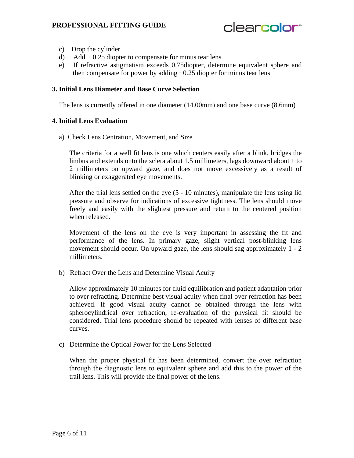

- c) Drop the cylinder
- d) Add  $+ 0.25$  diopter to compensate for minus tear lens
- e) If refractive astigmatism exceeds 0.75diopter, determine equivalent sphere and then compensate for power by adding +0.25 diopter for minus tear lens

#### **3. Initial Lens Diameter and Base Curve Selection**

The lens is currently offered in one diameter (14.00mm) and one base curve (8.6mm)

#### **4. Initial Lens Evaluation**

a)Check Lens Centration, Movement, and Size

The criteria for a well fit lens is one which centers easily after a blink, bridges the limbus and extends onto the sclera about 1.5 millimeters, lags downward about 1 to 2 millimeters on upward gaze, and does not move excessively as a result of blinking or exaggerated eye movements.

After the trial lens settled on the eye (5 - 10 minutes), manipulate the lens using lid pressure and observe for indications of excessive tightness. The lens should move freely and easily with the slightest pressure and return to the centered position when released.

Movement of the lens on the eye is very important in assessing the fit and performance of the lens. In primary gaze, slight vertical post-blinking lens movement should occur. On upward gaze, the lens should sag approximately 1 - 2 millimeters.

b)Refract Over the Lens and Determine Visual Acuity

Allow approximately 10 minutes for fluid equilibration and patient adaptation prior to over refracting. Determine best visual acuity when final over refraction has been achieved. If good visual acuity cannot be obtained through the lens with spherocylindrical over refraction, re-evaluation of the physical fit should be considered. Trial lens procedure should be repeated with lenses of different base curves.

c) Determine the Optical Power for the Lens Selected

When the proper physical fit has been determined, convert the over refraction through the diagnostic lens to equivalent sphere and add this to the power of the trail lens. This will provide the final power of the lens.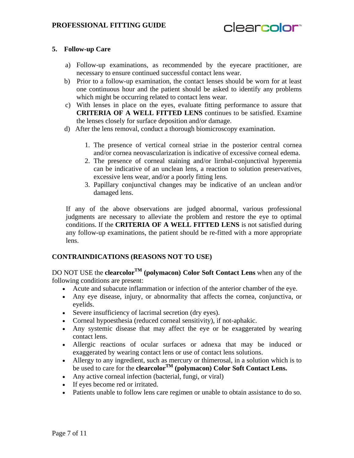# clearcolor<sup>®</sup>

# **5. Follow-up Care**

- a) Follow-up examinations, as recommended by the eyecare practitioner, are necessary to ensure continued successful contact lens wear.
- b) Prior to a follow-up examination, the contact lenses should be worn for at least one continuous hour and the patient should be asked to identify any problems which might be occurring related to contact lens wear.
- c) With lenses in place on the eyes, evaluate fitting performance to assure that **CRITERIA OF A WELL FITTED LENS** continues to be satisfied. Examine the lenses closely for surface deposition and/or damage.
- d) After the lens removal, conduct a thorough biomicroscopy examination.
	- 1. The presence of vertical corneal striae in the posterior central cornea and/or cornea neovascularization is indicative of excessive corneal edema.
	- 2. The presence of corneal staining and/or lirnbal-conjunctival hyperemia can be indicative of an unclean lens, a reaction to solution preservatives, excessive lens wear, and/or a poorly fitting lens.
	- 3. Papillary conjunctival changes may be indicative of an unclean and/or damaged lens.

If any of the above observations are judged abnormal, various professional judgments are necessary to alleviate the problem and restore the eye to optimal conditions. If the **CRITERIA OF A WELL FITTED LENS** is not satisfied during any follow-up examinations, the patient should be re-fitted with a more appropriate lens.

#### **CONTRAINDICATIONS (REASONS NOT TO USE)**

DO NOT USE the **clearcolorTM (polymacon) Color Soft Contact Lens** when any of the following conditions are present:

- Acute and subacute inflammation or infection of the anterior chamber of the eye.
- Any eye disease, injury, or abnormality that affects the cornea, conjunctiva, or eyelids.
- Severe insufficiency of lacrimal secretion (dry eyes).
- Corneal hypoesthesia (reduced corneal sensitivity), if not-aphakic.
- Any systemic disease that may affect the eye or be exaggerated by wearing contact lens.
- Allergic reactions of ocular surfaces or adnexa that may be induced or exaggerated by wearing contact lens or use of contact lens solutions.
- Allergy to any ingredient, such as mercury or thimerosal, in a solution which is to be used to care for the **clearcolorTM (polymacon) Color Soft Contact Lens.**
- Any active corneal infection (bacterial, fungi, or viral)
- If eyes become red or irritated.
- Patients unable to follow lens care regimen or unable to obtain assistance to do so.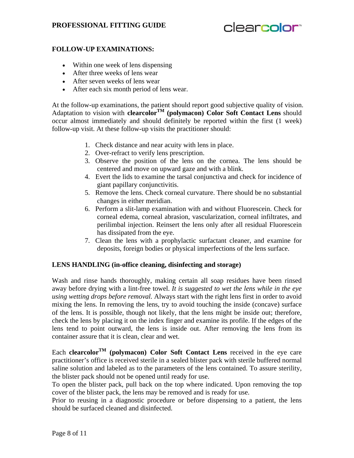# **PROFESSIONAL FITTING GUIDE**

# clearcolor<sup>®</sup>

# **FOLLOW-UP EXAMINATIONS:**

- Within one week of lens dispensing
- After three weeks of lens wear
- After seven weeks of lens wear
- After each six month period of lens wear.

At the follow-up examinations, the patient should report good subjective quality of vision. Adaptation to vision with **clearcolor<sup>TM</sup>** (polymacon) Color Soft Contact Lens should occur almost immediately and should definitely be reported within the first (1 week) follow-up visit. At these follow-up visits the practitioner should:

- 1. Check distance and near acuity with lens in place.
- 2. Over-refract to verify lens prescription.
- 3. Observe the position of the lens on the cornea. The lens should be centered and move on upward gaze and with a blink.
- 4. Evert the lids to examine the tarsal conjunctiva and check for incidence of giant papillary conjunctivitis.
- 5. Remove the lens. Check corneal curvature. There should be no substantial changes in either meridian.
- 6. Perform a slit-lamp examination with and without Fluorescein. Check for corneal edema, corneal abrasion, vascularization, corneal infiltrates, and perilimbal injection. Reinsert the lens only after all residual Fluorescein has dissipated from the eye.
- 7. Clean the lens with a prophylactic surfactant cleaner, and examine for deposits, foreign bodies or physical imperfections of the lens surface.

#### **LENS HANDLING (in-office cleaning, disinfecting and storage)**

Wash and rinse hands thoroughly, making certain all soap residues have been rinsed away before drying with a lint-free towel. *It is suggested to wet the lens while in the eye using wetting drops before removal.* Always start with the right lens first in order to avoid mixing the lens. In removing the lens, try to avoid touching the inside (concave) surface of the lens. It is possible, though not likely, that the lens might be inside out; therefore, check the lens by placing it on the index finger and examine its profile. If the edges of the lens tend to point outward, the lens is inside out. After removing the lens from its container assure that it is clean, clear and wet.

Each **clearcolor<sup>TM</sup>** (polymacon) Color Soft Contact Lens received in the eye care practitioner's office is received sterile in a sealed blister pack with sterile buffered normal saline solution and labeled as to the parameters of the lens contained. To assure sterility, the blister pack should not be opened until ready for use.

To open the blister pack, pull back on the top where indicated. Upon removing the top cover of the blister pack, the lens may be removed and is ready for use.

Prior to reusing in a diagnostic procedure or before dispensing to a patient, the lens should be surfaced cleaned and disinfected.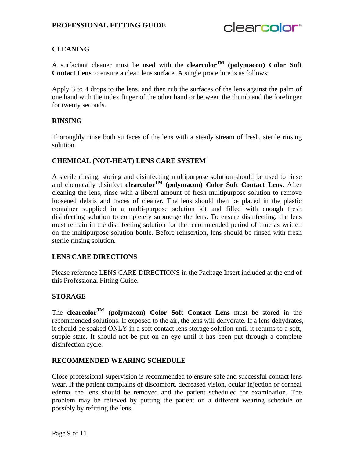

### **CLEANING**

A surfactant cleaner must be used with the **clearcolor**<sup>TM</sup> (polymacon) Color Soft **Contact Lens** to ensure a clean lens surface. A single procedure is as follows:

Apply 3 to 4 drops to the lens, and then rub the surfaces of the lens against the palm of one hand with the index finger of the other hand or between the thumb and the forefinger for twenty seconds.

#### **RINSING**

Thoroughly rinse both surfaces of the lens with a steady stream of fresh, sterile rinsing solution.

#### **CHEMICAL (NOT-HEAT) LENS CARE SYSTEM**

A sterile rinsing, storing and disinfecting multipurpose solution should be used to rinse and chemically disinfect **clearcolor<sup>TM</sup>** (polymacon) Color Soft Contact Lens. After cleaning the lens, rinse with a liberal amount of fresh multipurpose solution to remove loosened debris and traces of cleaner. The lens should then be placed in the plastic container supplied in a multi-purpose solution kit and filled with enough fresh disinfecting solution to completely submerge the lens. To ensure disinfecting, the lens must remain in the disinfecting solution for the recommended period of time as written on the multipurpose solution bottle. Before reinsertion, lens should be rinsed with fresh sterile rinsing solution.

#### **LENS CARE DIRECTIONS**

Please reference LENS CARE DIRECTIONS in the Package Insert included at the end of this Professional Fitting Guide.

#### **STORAGE**

The **clearcolorTM (polymacon) Color Soft Contact Lens** must be stored in the recommended solutions. If exposed to the air, the lens will dehydrate. If a lens dehydrates, it should be soaked ONLY in a soft contact lens storage solution until it returns to a soft, supple state. It should not be put on an eye until it has been put through a complete disinfection cycle.

#### **RECOMMENDED WEARING SCHEDULE**

Close professional supervision is recommended to ensure safe and successful contact lens wear. If the patient complains of discomfort, decreased vision, ocular injection or corneal edema, the lens should be removed and the patient scheduled for examination. The problem may be relieved by putting the patient on a different wearing schedule or possibly by refitting the lens.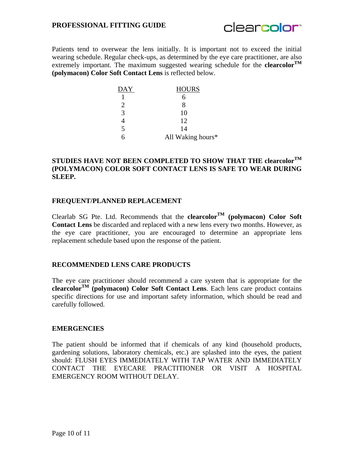

Patients tend to overwear the lens initially. It is important not to exceed the initial wearing schedule. Regular check-ups, as determined by the eye care practitioner, are also extremely important. The maximum suggested wearing schedule for the **clearcolor**<sup>TM</sup> **(polymacon) Color Soft Contact Lens** is reflected below.

| <b>DAY</b>            | <b>HOURS</b>      |
|-----------------------|-------------------|
|                       |                   |
| $\mathcal{D}_{\cdot}$ | x                 |
| 3                     | 10                |
|                       | 12                |
| $\overline{5}$        | 14                |
| R                     | All Waking hours* |

# **STUDIES HAVE NOT BEEN COMPLETED TO SHOW THAT THE clearcolorTM (POLYMACON) COLOR SOFT CONTACT LENS IS SAFE TO WEAR DURING SLEEP.**

#### **FREQUENT/PLANNED REPLACEMENT**

Clearlab SG Pte. Ltd. Recommends that the **clearcolor**<sup>TM</sup> (polymacon) Color Soft **Contact Lens** be discarded and replaced with a new lens every two months. However, as the eye care practitioner, you are encouraged to determine an appropriate lens replacement schedule based upon the response of the patient.

#### **RECOMMENDED LENS CARE PRODUCTS**

The eye care practitioner should recommend a care system that is appropriate for the **clearcolor**<sup>TM</sup> (polymacon) Color Soft Contact Lens. Each lens care product contains specific directions for use and important safety information, which should be read and carefully followed.

#### **EMERGENCIES**

The patient should be informed that if chemicals of any kind (household products, gardening solutions, laboratory chemicals, etc.) are splashed into the eyes, the patient should: FLUSH EYES IMMEDIATELY WITH TAP WATER AND IMMEDIATELY CONTACT THE EYECARE PRACTITIONER OR VISIT A HOSPITAL EMERGENCY ROOM WITHOUT DELAY.